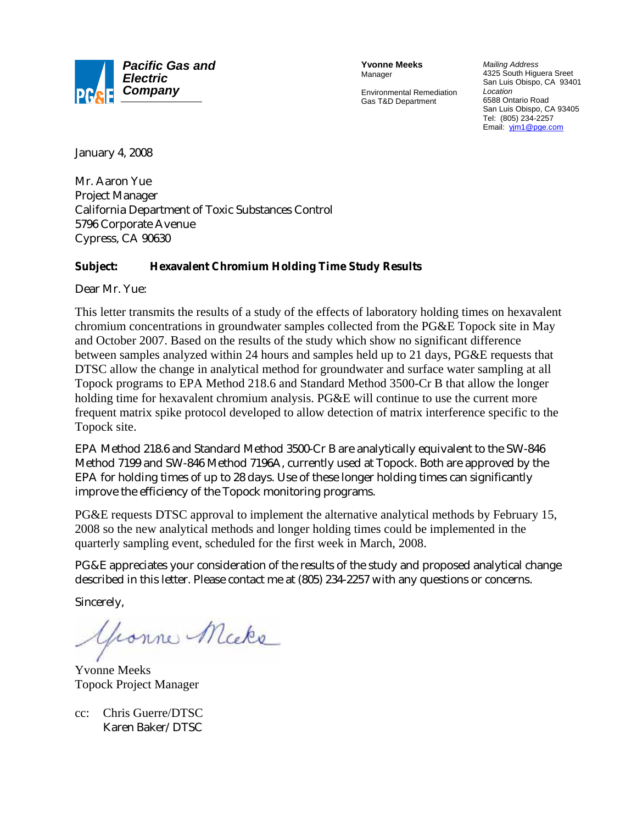

**Yvonne Meeks** Manager

Environmental Remediation Gas T&D Department

*Mailing Address* 4325 South Higuera Sreet San Luis Obispo, CA 93401 *Location* 6588 Ontario Road San Luis Obispo, CA 93405 Tel: (805) 234-2257 Email: yjm1@pge.com

January 4, 2008

Mr. Aaron Yue Project Manager California Department of Toxic Substances Control 5796 Corporate Avenue Cypress, CA 90630

#### **Subject: Hexavalent Chromium Holding Time Study Results**

Dear Mr. Yue:

This letter transmits the results of a study of the effects of laboratory holding times on hexavalent chromium concentrations in groundwater samples collected from the PG&E Topock site in May and October 2007. Based on the results of the study which show no significant difference between samples analyzed within 24 hours and samples held up to 21 days, PG&E requests that DTSC allow the change in analytical method for groundwater and surface water sampling at all Topock programs to EPA Method 218.6 and Standard Method 3500-Cr B that allow the longer holding time for hexavalent chromium analysis. PG&E will continue to use the current more frequent matrix spike protocol developed to allow detection of matrix interference specific to the Topock site.

EPA Method 218.6 and Standard Method 3500-Cr B are analytically equivalent to the SW-846 Method 7199 and SW-846 Method 7196A, currently used at Topock. Both are approved by the EPA for holding times of up to 28 days. Use of these longer holding times can significantly improve the efficiency of the Topock monitoring programs.

PG&E requests DTSC approval to implement the alternative analytical methods by February 15, 2008 so the new analytical methods and longer holding times could be implemented in the quarterly sampling event, scheduled for the first week in March, 2008.

PG&E appreciates your consideration of the results of the study and proposed analytical change described in this letter. Please contact me at (805) 234-2257 with any questions or concerns.

Sincerely,

yconne Micke

Yvonne Meeks Topock Project Manager

cc: Chris Guerre/DTSC Karen Baker/DTSC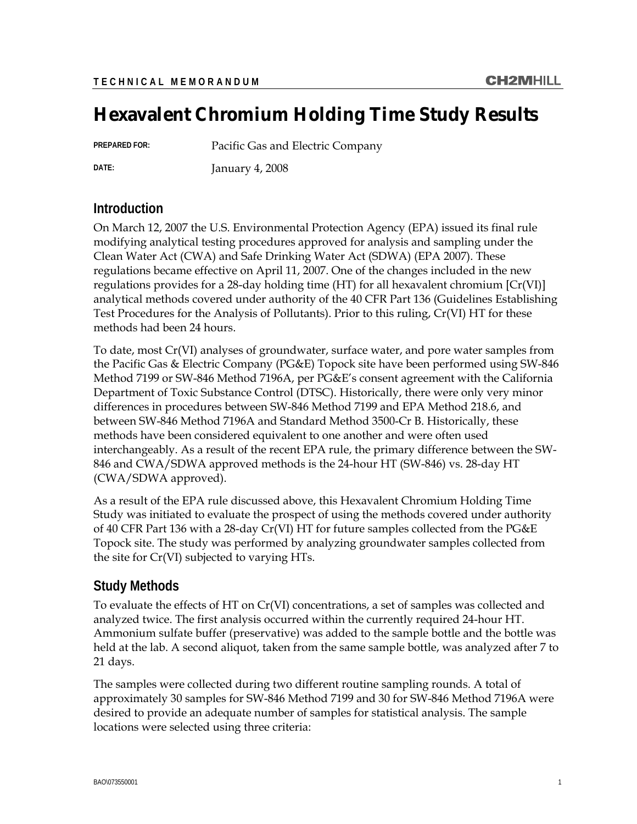# **Hexavalent Chromium Holding Time Study Results**

**PREPARED FOR:** Pacific Gas and Electric Company

**DATE:** January 4, 2008

# **Introduction**

On March 12, 2007 the U.S. Environmental Protection Agency (EPA) issued its final rule modifying analytical testing procedures approved for analysis and sampling under the Clean Water Act (CWA) and Safe Drinking Water Act (SDWA) (EPA 2007). These regulations became effective on April 11, 2007. One of the changes included in the new regulations provides for a 28-day holding time (HT) for all hexavalent chromium  $\left[Cr(VI)\right]$ analytical methods covered under authority of the 40 CFR Part 136 (Guidelines Establishing Test Procedures for the Analysis of Pollutants). Prior to this ruling, Cr(VI) HT for these methods had been 24 hours.

To date, most Cr(VI) analyses of groundwater, surface water, and pore water samples from the Pacific Gas & Electric Company (PG&E) Topock site have been performed using SW-846 Method 7199 or SW-846 Method 7196A, per PG&E's consent agreement with the California Department of Toxic Substance Control (DTSC). Historically, there were only very minor differences in procedures between SW-846 Method 7199 and EPA Method 218.6, and between SW-846 Method 7196A and Standard Method 3500-Cr B. Historically, these methods have been considered equivalent to one another and were often used interchangeably. As a result of the recent EPA rule, the primary difference between the SW-846 and CWA/SDWA approved methods is the 24-hour HT (SW-846) vs. 28-day HT (CWA/SDWA approved).

As a result of the EPA rule discussed above, this Hexavalent Chromium Holding Time Study was initiated to evaluate the prospect of using the methods covered under authority of 40 CFR Part 136 with a 28-day Cr(VI) HT for future samples collected from the PG&E Topock site. The study was performed by analyzing groundwater samples collected from the site for Cr(VI) subjected to varying HTs.

# **Study Methods**

To evaluate the effects of HT on Cr(VI) concentrations, a set of samples was collected and analyzed twice. The first analysis occurred within the currently required 24-hour HT. Ammonium sulfate buffer (preservative) was added to the sample bottle and the bottle was held at the lab. A second aliquot, taken from the same sample bottle, was analyzed after 7 to 21 days.

The samples were collected during two different routine sampling rounds. A total of approximately 30 samples for SW-846 Method 7199 and 30 for SW-846 Method 7196A were desired to provide an adequate number of samples for statistical analysis. The sample locations were selected using three criteria: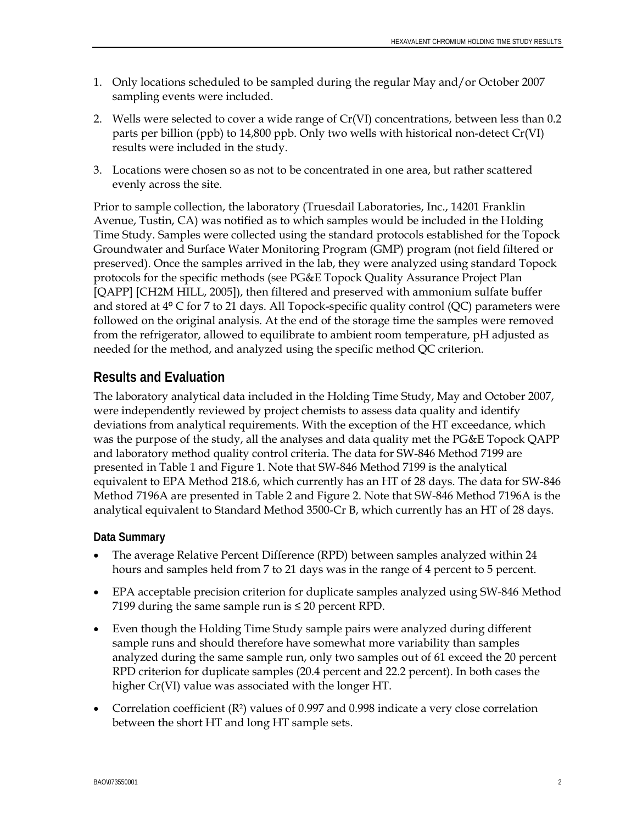- 1. Only locations scheduled to be sampled during the regular May and/or October 2007 sampling events were included.
- 2. Wells were selected to cover a wide range of Cr(VI) concentrations, between less than 0.2 parts per billion (ppb) to 14,800 ppb. Only two wells with historical non-detect Cr(VI) results were included in the study.
- 3. Locations were chosen so as not to be concentrated in one area, but rather scattered evenly across the site.

Prior to sample collection, the laboratory (Truesdail Laboratories, Inc., 14201 Franklin Avenue, Tustin, CA) was notified as to which samples would be included in the Holding Time Study. Samples were collected using the standard protocols established for the Topock Groundwater and Surface Water Monitoring Program (GMP) program (not field filtered or preserved). Once the samples arrived in the lab, they were analyzed using standard Topock protocols for the specific methods (see PG&E Topock Quality Assurance Project Plan [QAPP] [CH2M HILL, 2005]), then filtered and preserved with ammonium sulfate buffer and stored at  $4^{\circ}$  C for 7 to 21 days. All Topock-specific quality control (QC) parameters were followed on the original analysis. At the end of the storage time the samples were removed from the refrigerator, allowed to equilibrate to ambient room temperature, pH adjusted as needed for the method, and analyzed using the specific method QC criterion.

# **Results and Evaluation**

The laboratory analytical data included in the Holding Time Study, May and October 2007, were independently reviewed by project chemists to assess data quality and identify deviations from analytical requirements. With the exception of the HT exceedance, which was the purpose of the study, all the analyses and data quality met the PG&E Topock QAPP and laboratory method quality control criteria. The data for SW-846 Method 7199 are presented in Table 1 and Figure 1. Note that SW-846 Method 7199 is the analytical equivalent to EPA Method 218.6, which currently has an HT of 28 days. The data for SW-846 Method 7196A are presented in Table 2 and Figure 2. Note that SW-846 Method 7196A is the analytical equivalent to Standard Method 3500-Cr B, which currently has an HT of 28 days.

#### **Data Summary**

- The average Relative Percent Difference (RPD) between samples analyzed within 24 hours and samples held from 7 to 21 days was in the range of 4 percent to 5 percent.
- EPA acceptable precision criterion for duplicate samples analyzed using SW-846 Method 7199 during the same sample run is  $\leq 20$  percent RPD.
- Even though the Holding Time Study sample pairs were analyzed during different sample runs and should therefore have somewhat more variability than samples analyzed during the same sample run, only two samples out of 61 exceed the 20 percent RPD criterion for duplicate samples (20.4 percent and 22.2 percent). In both cases the higher Cr(VI) value was associated with the longer HT.
- Correlation coefficient  $(R^2)$  values of 0.997 and 0.998 indicate a very close correlation between the short HT and long HT sample sets.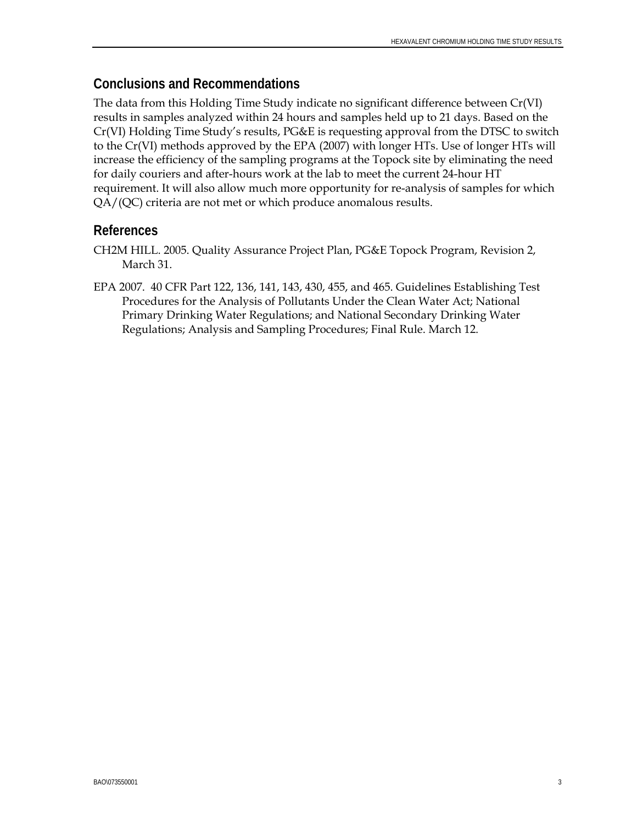### **Conclusions and Recommendations**

The data from this Holding Time Study indicate no significant difference between Cr(VI) results in samples analyzed within 24 hours and samples held up to 21 days. Based on the Cr(VI) Holding Time Study's results, PG&E is requesting approval from the DTSC to switch to the Cr(VI) methods approved by the EPA (2007) with longer HTs. Use of longer HTs will increase the efficiency of the sampling programs at the Topock site by eliminating the need for daily couriers and after-hours work at the lab to meet the current 24-hour HT requirement. It will also allow much more opportunity for re-analysis of samples for which QA/(QC) criteria are not met or which produce anomalous results.

#### **References**

- CH2M HILL. 2005. Quality Assurance Project Plan, PG&E Topock Program, Revision 2, March 31.
- EPA 2007. 40 CFR Part 122, 136, 141, 143, 430, 455, and 465. Guidelines Establishing Test Procedures for the Analysis of Pollutants Under the Clean Water Act; National Primary Drinking Water Regulations; and National Secondary Drinking Water Regulations; Analysis and Sampling Procedures; Final Rule. March 12.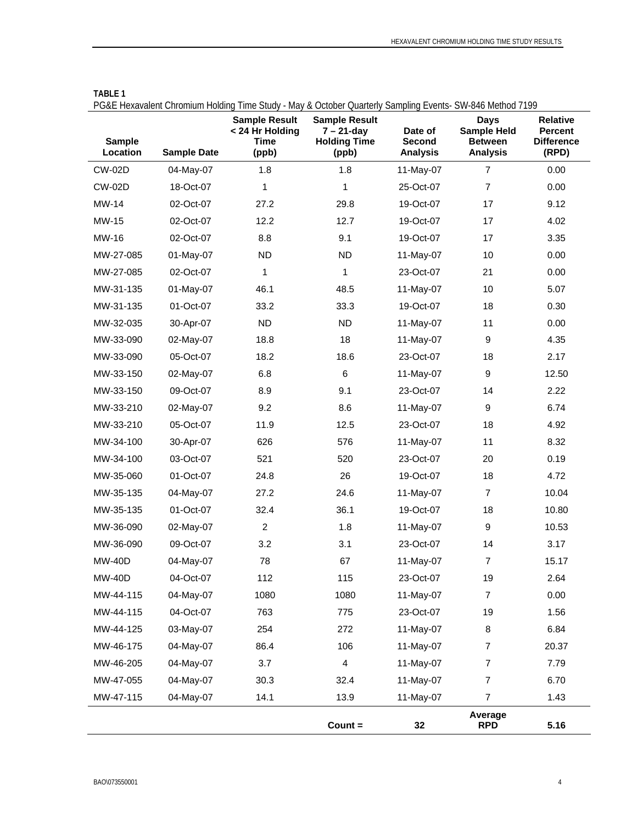| <b>Sample</b><br>Location | <b>Sample Date</b> | T ONE HOMEON OF DITURNAL HOMEO THIS DRUG - May a October Quarterly Damping Events- On-540 Mcmou 7177<br><b>Sample Result</b><br>< 24 Hr Holding<br>Time<br>(ppb) | <b>Sample Result</b><br>$7 - 21$ -day<br><b>Holding Time</b><br>(ppb) | Date of<br>Second<br><b>Analysis</b> | Days<br><b>Sample Held</b><br><b>Between</b><br><b>Analysis</b> | <b>Relative</b><br><b>Percent</b><br><b>Difference</b><br>(RPD) |
|---------------------------|--------------------|------------------------------------------------------------------------------------------------------------------------------------------------------------------|-----------------------------------------------------------------------|--------------------------------------|-----------------------------------------------------------------|-----------------------------------------------------------------|
| <b>CW-02D</b>             | 04-May-07          | 1.8                                                                                                                                                              | 1.8                                                                   | 11-May-07                            | $\overline{7}$                                                  | 0.00                                                            |
| <b>CW-02D</b>             | 18-Oct-07          | 1                                                                                                                                                                | $\mathbf{1}$                                                          | 25-Oct-07                            | $\overline{7}$                                                  | 0.00                                                            |
| MW-14                     | 02-Oct-07          | 27.2                                                                                                                                                             | 29.8                                                                  | 19-Oct-07                            | 17                                                              | 9.12                                                            |
| MW-15                     | 02-Oct-07          | 12.2                                                                                                                                                             | 12.7                                                                  | 19-Oct-07                            | 17                                                              | 4.02                                                            |
| MW-16                     | 02-Oct-07          | 8.8                                                                                                                                                              | 9.1                                                                   | 19-Oct-07                            | 17                                                              | 3.35                                                            |
| MW-27-085                 | 01-May-07          | <b>ND</b>                                                                                                                                                        | <b>ND</b>                                                             | 11-May-07                            | 10                                                              | 0.00                                                            |
| MW-27-085                 | 02-Oct-07          | 1                                                                                                                                                                | 1                                                                     | 23-Oct-07                            | 21                                                              | 0.00                                                            |
| MW-31-135                 | 01-May-07          | 46.1                                                                                                                                                             | 48.5                                                                  | 11-May-07                            | 10                                                              | 5.07                                                            |
| MW-31-135                 | 01-Oct-07          | 33.2                                                                                                                                                             | 33.3                                                                  | 19-Oct-07                            | 18                                                              | 0.30                                                            |
| MW-32-035                 | 30-Apr-07          | <b>ND</b>                                                                                                                                                        | <b>ND</b>                                                             | 11-May-07                            | 11                                                              | 0.00                                                            |
| MW-33-090                 | 02-May-07          | 18.8                                                                                                                                                             | 18                                                                    | 11-May-07                            | 9                                                               | 4.35                                                            |
| MW-33-090                 | 05-Oct-07          | 18.2                                                                                                                                                             | 18.6                                                                  | 23-Oct-07                            | 18                                                              | 2.17                                                            |
| MW-33-150                 | 02-May-07          | 6.8                                                                                                                                                              | 6                                                                     | 11-May-07                            | $\boldsymbol{9}$                                                | 12.50                                                           |
| MW-33-150                 | 09-Oct-07          | 8.9                                                                                                                                                              | 9.1                                                                   | 23-Oct-07                            | 14                                                              | 2.22                                                            |
| MW-33-210                 | 02-May-07          | 9.2                                                                                                                                                              | 8.6                                                                   | 11-May-07                            | 9                                                               | 6.74                                                            |
| MW-33-210                 | 05-Oct-07          | 11.9                                                                                                                                                             | 12.5                                                                  | 23-Oct-07                            | 18                                                              | 4.92                                                            |
| MW-34-100                 | 30-Apr-07          | 626                                                                                                                                                              | 576                                                                   | 11-May-07                            | 11                                                              | 8.32                                                            |
| MW-34-100                 | 03-Oct-07          | 521                                                                                                                                                              | 520                                                                   | 23-Oct-07                            | 20                                                              | 0.19                                                            |
| MW-35-060                 | 01-Oct-07          | 24.8                                                                                                                                                             | 26                                                                    | 19-Oct-07                            | 18                                                              | 4.72                                                            |
| MW-35-135                 | 04-May-07          | 27.2                                                                                                                                                             | 24.6                                                                  | 11-May-07                            | $\overline{7}$                                                  | 10.04                                                           |
| MW-35-135                 | 01-Oct-07          | 32.4                                                                                                                                                             | 36.1                                                                  | 19-Oct-07                            | 18                                                              | 10.80                                                           |
| MW-36-090                 | 02-May-07          | $\overline{2}$                                                                                                                                                   | 1.8                                                                   | 11-May-07                            | 9                                                               | 10.53                                                           |
| MW-36-090                 | 09-Oct-07          | 3.2                                                                                                                                                              | 3.1                                                                   | 23-Oct-07                            | 14                                                              | 3.17                                                            |
| <b>MW-40D</b>             | 04-May-07          | 78                                                                                                                                                               | 67                                                                    | 11-May-07                            | $\overline{7}$                                                  | 15.17                                                           |
| <b>MW-40D</b>             | 04-Oct-07          | 112                                                                                                                                                              | 115                                                                   | 23-Oct-07                            | 19                                                              | 2.64                                                            |
| MW-44-115                 | 04-May-07          | 1080                                                                                                                                                             | 1080                                                                  | 11-May-07                            | $\overline{7}$                                                  | 0.00                                                            |
| MW-44-115                 | 04-Oct-07          | 763                                                                                                                                                              | 775                                                                   | 23-Oct-07                            | 19                                                              | 1.56                                                            |
| MW-44-125                 | 03-May-07          | 254                                                                                                                                                              | 272                                                                   | 11-May-07                            | 8                                                               | 6.84                                                            |
| MW-46-175                 | 04-May-07          | 86.4                                                                                                                                                             | 106                                                                   | 11-May-07                            | $\overline{7}$                                                  | 20.37                                                           |
| MW-46-205                 | 04-May-07          | 3.7                                                                                                                                                              | $\overline{\mathbf{4}}$                                               | 11-May-07                            | $\overline{7}$                                                  | 7.79                                                            |
| MW-47-055                 | 04-May-07          | 30.3                                                                                                                                                             | 32.4                                                                  | 11-May-07                            | $\overline{7}$                                                  | 6.70                                                            |
| MW-47-115                 | 04-May-07          | 14.1                                                                                                                                                             | 13.9                                                                  | 11-May-07                            | $\overline{7}$                                                  | 1.43                                                            |
|                           |                    |                                                                                                                                                                  | $Count =$                                                             | 32                                   | Average<br><b>RPD</b>                                           | 5.16                                                            |

| <b>TABLE 1</b>                                                                                            |  |  |
|-----------------------------------------------------------------------------------------------------------|--|--|
| PG&F Hexavalent Chromium Holding Time Study - May & October Quarterly Sampling Events- SW-846 Method 7199 |  |  |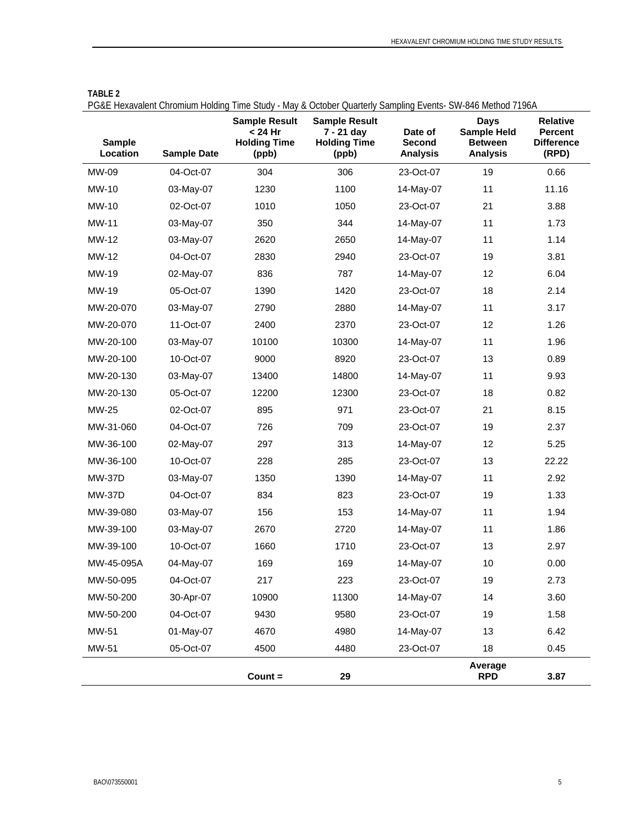| <b>Sample</b><br>Location | <b>Sample Date</b> | <b>Sample Result</b><br>< 24 Hr<br><b>Holding Time</b><br>(ppb) | <b>Sample Result</b><br>7 - 21 day<br><b>Holding Time</b><br>(ppb) | Date of<br>Second<br><b>Analysis</b> | <b>Days</b><br><b>Sample Held</b><br><b>Between</b><br><b>Analysis</b> | <b>Relative</b><br><b>Percent</b><br><b>Difference</b><br>(RPD) |
|---------------------------|--------------------|-----------------------------------------------------------------|--------------------------------------------------------------------|--------------------------------------|------------------------------------------------------------------------|-----------------------------------------------------------------|
| MW-09                     | 04-Oct-07          | 304                                                             | 306                                                                | 23-Oct-07                            | 19                                                                     | 0.66                                                            |
| MW-10                     | 03-May-07          | 1230                                                            | 1100                                                               | 14-May-07                            | 11                                                                     | 11.16                                                           |
| MW-10                     | 02-Oct-07          | 1010                                                            | 1050                                                               | 23-Oct-07                            | 21                                                                     | 3.88                                                            |
| <b>MW-11</b>              | 03-May-07          | 350                                                             | 344                                                                | 14-May-07                            | 11                                                                     | 1.73                                                            |
| MW-12                     | 03-May-07          | 2620                                                            | 2650                                                               | 14-May-07                            | 11                                                                     | 1.14                                                            |
| MW-12                     | 04-Oct-07          | 2830                                                            | 2940                                                               | 23-Oct-07                            | 19                                                                     | 3.81                                                            |
| MW-19                     | 02-May-07          | 836                                                             | 787                                                                | 14-May-07                            | 12                                                                     | 6.04                                                            |
| MW-19                     | 05-Oct-07          | 1390                                                            | 1420                                                               | 23-Oct-07                            | 18                                                                     | 2.14                                                            |
| MW-20-070                 | 03-May-07          | 2790                                                            | 2880                                                               | 14-May-07                            | 11                                                                     | 3.17                                                            |
| MW-20-070                 | 11-Oct-07          | 2400                                                            | 2370                                                               | 23-Oct-07                            | 12                                                                     | 1.26                                                            |
| MW-20-100                 | 03-May-07          | 10100                                                           | 10300                                                              | 14-May-07                            | 11                                                                     | 1.96                                                            |
| MW-20-100                 | 10-Oct-07          | 9000                                                            | 8920                                                               | 23-Oct-07                            | 13                                                                     | 0.89                                                            |
| MW-20-130                 | 03-May-07          | 13400                                                           | 14800                                                              | 14-May-07                            | 11                                                                     | 9.93                                                            |
| MW-20-130                 | 05-Oct-07          | 12200                                                           | 12300                                                              | 23-Oct-07                            | 18                                                                     | 0.82                                                            |
| MW-25                     | 02-Oct-07          | 895                                                             | 971                                                                | 23-Oct-07                            | 21                                                                     | 8.15                                                            |
| MW-31-060                 | 04-Oct-07          | 726                                                             | 709                                                                | 23-Oct-07                            | 19                                                                     | 2.37                                                            |
| MW-36-100                 | 02-May-07          | 297                                                             | 313                                                                | 14-May-07                            | 12                                                                     | 5.25                                                            |
| MW-36-100                 | 10-Oct-07          | 228                                                             | 285                                                                | 23-Oct-07                            | 13                                                                     | 22.22                                                           |
| <b>MW-37D</b>             | 03-May-07          | 1350                                                            | 1390                                                               | 14-May-07                            | 11                                                                     | 2.92                                                            |
| <b>MW-37D</b>             | 04-Oct-07          | 834                                                             | 823                                                                | 23-Oct-07                            | 19                                                                     | 1.33                                                            |
| MW-39-080                 | 03-May-07          | 156                                                             | 153                                                                | 14-May-07                            | 11                                                                     | 1.94                                                            |
| MW-39-100                 | 03-May-07          | 2670                                                            | 2720                                                               | 14-May-07                            | 11                                                                     | 1.86                                                            |
| MW-39-100                 | 10-Oct-07          | 1660                                                            | 1710                                                               | 23-Oct-07                            | 13                                                                     | 2.97                                                            |
| MW-45-095A                | 04-May-07          | 169                                                             | 169                                                                | 14-May-07                            | 10                                                                     | 0.00                                                            |
| MW-50-095                 | 04-Oct-07          | 217                                                             | 223                                                                | 23-Oct-07                            | 19                                                                     | 2.73                                                            |
| MW-50-200                 | 30-Apr-07          | 10900                                                           | 11300                                                              | 14-May-07                            | 14                                                                     | 3.60                                                            |
| MW-50-200                 | 04-Oct-07          | 9430                                                            | 9580                                                               | 23-Oct-07                            | 19                                                                     | 1.58                                                            |
| MW-51                     | 01-May-07          | 4670                                                            | 4980                                                               | 14-May-07                            | 13                                                                     | 6.42                                                            |
| MW-51                     | 05-Oct-07          | 4500                                                            | 4480                                                               | 23-Oct-07                            | 18                                                                     | 0.45                                                            |
|                           |                    | $Count =$                                                       | 29                                                                 |                                      | Average<br><b>RPD</b>                                                  | 3.87                                                            |

#### **TABLE 2**

PG&E Hexavalent Chromium Holding Time Study - May & October Quarterly Sampling Events- SW-846 Method 7196A